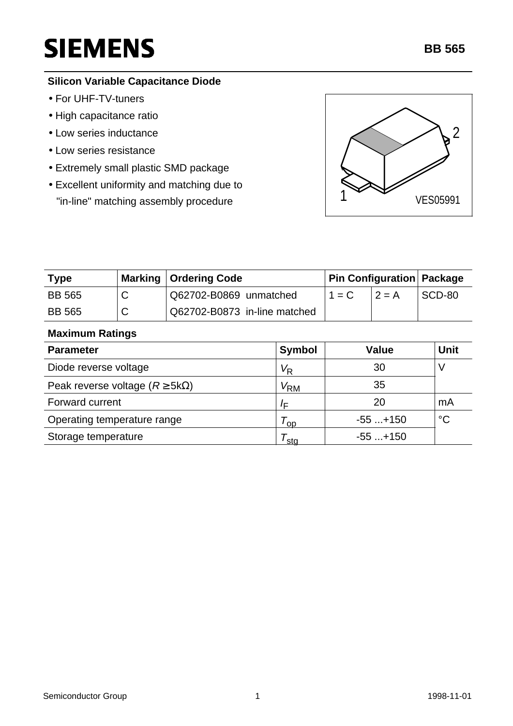# **SIEMENS**

## **Silicon Variable Capacitance Diode**

- For UHF-TV-tuners
- High capacitance ratio
- Low series inductance
- Low series resistance
- Extremely small plastic SMD package
- Excellent uniformity and matching due to "in-line" matching assembly procedure 1 1 VES05991



| <b>Type</b>   | Marking   Ordering Code      | Pin Configuration   Package |          |        |
|---------------|------------------------------|-----------------------------|----------|--------|
| <b>BB 565</b> | Q62702-B0869 unmatched       | $1 = C$                     | $12 = A$ | SCD-80 |
| <b>BB 565</b> | Q62702-B0873 in-line matched |                             |          |        |

#### **Maximum Ratings**

| <b>Parameter</b>                           | <b>Symbol</b>     | <b>Value</b> | <b>Unit</b>     |
|--------------------------------------------|-------------------|--------------|-----------------|
| Diode reverse voltage                      | $V_{\mathsf{R}}$  | 30           |                 |
| Peak reverse voltage ( $R \geq 5k\Omega$ ) | $V_{\mathsf{RM}}$ | 35           |                 |
| Forward current                            | /⊏                | 20           | mA              |
| Operating temperature range                | <b>OD</b>         | $-55+150$    | $\rm ^{\circ}C$ |
| Storage temperature                        | sta               | $-55+150$    |                 |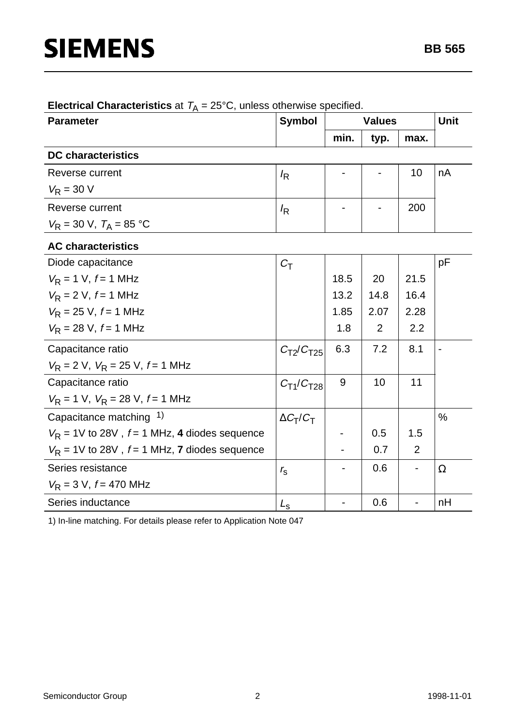| <b>Parameter</b>                                        | <b>Symbol</b>                  | <b>Values</b> |      |      | <b>Unit</b> |  |  |
|---------------------------------------------------------|--------------------------------|---------------|------|------|-------------|--|--|
|                                                         |                                | min.          | typ. | max. |             |  |  |
| <b>DC</b> characteristics                               |                                |               |      |      |             |  |  |
| Reverse current                                         | $I_{\mathsf{R}}$               |               |      | 10   | nA          |  |  |
| $V_R = 30 V$                                            |                                |               |      |      |             |  |  |
| Reverse current                                         | $I_{\mathsf{R}}$               |               |      | 200  |             |  |  |
| $V_R = 30 \text{ V}, T_A = 85 \text{ }^{\circ}\text{C}$ |                                |               |      |      |             |  |  |
| <b>AC characteristics</b>                               |                                |               |      |      |             |  |  |
| Diode capacitance                                       | $C_{\mathsf{T}}$               |               |      |      | pF          |  |  |
| $V_R$ = 1 V, $f$ = 1 MHz                                |                                | 18.5          | 20   | 21.5 |             |  |  |
| $V_R = 2 V, f = 1 MHz$                                  |                                | 13.2          | 14.8 | 16.4 |             |  |  |
| $V_R$ = 25 V, $f = 1$ MHz                               |                                | 1.85          | 2.07 | 2.28 |             |  |  |
| $V_R = 28$ V, $f = 1$ MHz                               |                                | 1.8           | 2    | 2.2  |             |  |  |
| Capacitance ratio                                       | $C_{T2}/C_{T25}$               | 6.3           | 7.2  | 8.1  |             |  |  |
| $V_R$ = 2 V, $V_R$ = 25 V, $f$ = 1 MHz                  |                                |               |      |      |             |  |  |
| Capacitance ratio                                       | $C_{\text{T1}}/C_{\text{T28}}$ | 9             | 10   | 11   |             |  |  |
| $V_R = 1$ V, $V_R = 28$ V, $f = 1$ MHz                  |                                |               |      |      |             |  |  |
| Capacitance matching 1)                                 | $\Delta C_T/C_T$               |               |      |      | $\%$        |  |  |
| $V_R$ = 1V to 28V, $f = 1$ MHz, 4 diodes sequence       |                                |               | 0.5  | 1.5  |             |  |  |
| $V_R$ = 1V to 28V, $f = 1$ MHz, 7 diodes sequence       |                                |               | 0.7  | 2    |             |  |  |
| Series resistance                                       | $r_{\rm s}$                    |               | 0.6  |      | $\Omega$    |  |  |
| $V_R = 3 V, f = 470 MHz$                                |                                |               |      |      |             |  |  |
| Series inductance                                       | $L_{\rm s}$                    |               | 0.6  |      | nH          |  |  |

## **Electrical Characteristics** at  $T_A = 25^{\circ}$ C, unless otherwise specified.

1) In-line matching. For details please refer to Application Note 047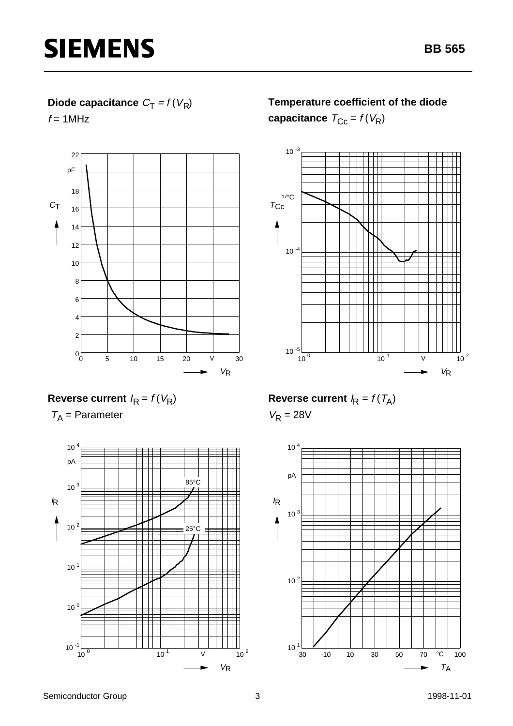## **Diode capacitance**  $C_T = f(V_R)$

 $f = 1$ MHz



## **Temperature coefficient of the diode**

**capacitance**  $T_{\text{Cc}} = f(V_{\text{R}})$ 



## **Reverse current**  $I_R = f(V_R)$

 $T_A$  = Parameter



**Reverse current**  $I_R = f(T_A)$ 

 $V_R = 28V$